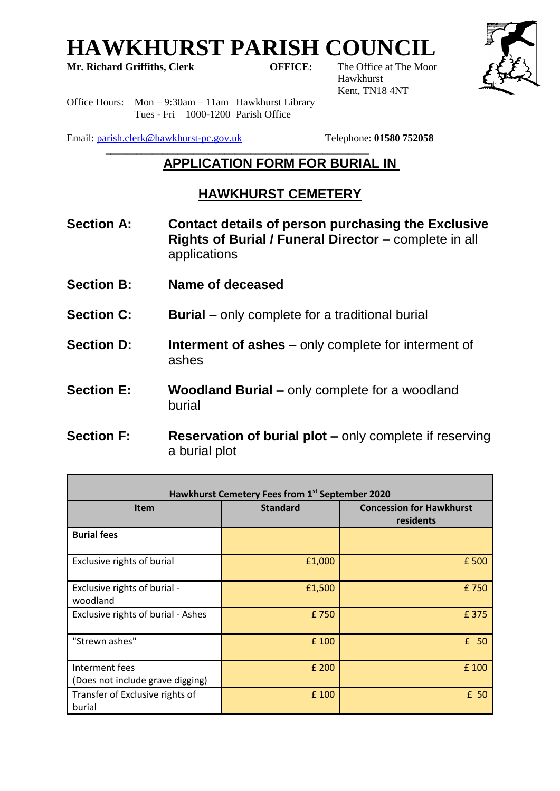# **HAWKHURST PARISH COUNCIL**<br>Mr. Richard Griffiths, Clerk **COUNCIL**<br>OFFICE: The Office at The Moor

**Mr. Richard Griffiths, Clerk** 

Hawkhurst Kent, TN18 4NT



Office Hours: Mon – 9:30am – 11am Hawkhurst Library Tues - Fri 1000-1200 Parish Office

Email: [parish.clerk@hawkhurst-pc.gov.uk](mailto:parish.clerk@hawkhurst-pc.gov.uk) Telephone: **01580 752058**

#### $\frac{1}{2}$  ,  $\frac{1}{2}$  ,  $\frac{1}{2}$  ,  $\frac{1}{2}$  ,  $\frac{1}{2}$  ,  $\frac{1}{2}$  ,  $\frac{1}{2}$  ,  $\frac{1}{2}$  ,  $\frac{1}{2}$  ,  $\frac{1}{2}$  ,  $\frac{1}{2}$  ,  $\frac{1}{2}$  ,  $\frac{1}{2}$  ,  $\frac{1}{2}$  ,  $\frac{1}{2}$  ,  $\frac{1}{2}$  ,  $\frac{1}{2}$  ,  $\frac{1}{2}$  ,  $\frac{1$ **APPLICATION FORM FOR BURIAL IN**

# **HAWKHURST CEMETERY**

- **Section A: Contact details of person purchasing the Exclusive Rights of Burial / Funeral Director –** complete in all applications
- **Section B: Name of deceased**
- **Section C:** Burial only complete for a traditional burial
- **Section D:** Interment of ashes only complete for interment of ashes
- **Section E:** Woodland Burial only complete for a woodland burial
- **Section F: Reservation of burial plot –** only complete if reserving a burial plot

| Hawkhurst Cemetery Fees from 1st September 2020    |                 |                                              |
|----------------------------------------------------|-----------------|----------------------------------------------|
| <b>Item</b>                                        | <b>Standard</b> | <b>Concession for Hawkhurst</b><br>residents |
| <b>Burial fees</b>                                 |                 |                                              |
| Exclusive rights of burial                         | £1,000          | £500                                         |
| Exclusive rights of burial -<br>woodland           | £1,500          | £750                                         |
| Exclusive rights of burial - Ashes                 | £750            | £375                                         |
| "Strewn ashes"                                     | £ 100           | £ 50                                         |
| Interment fees<br>(Does not include grave digging) | £ 200           | £ 100                                        |
| Transfer of Exclusive rights of<br>burial          | £ 100           | £ 50                                         |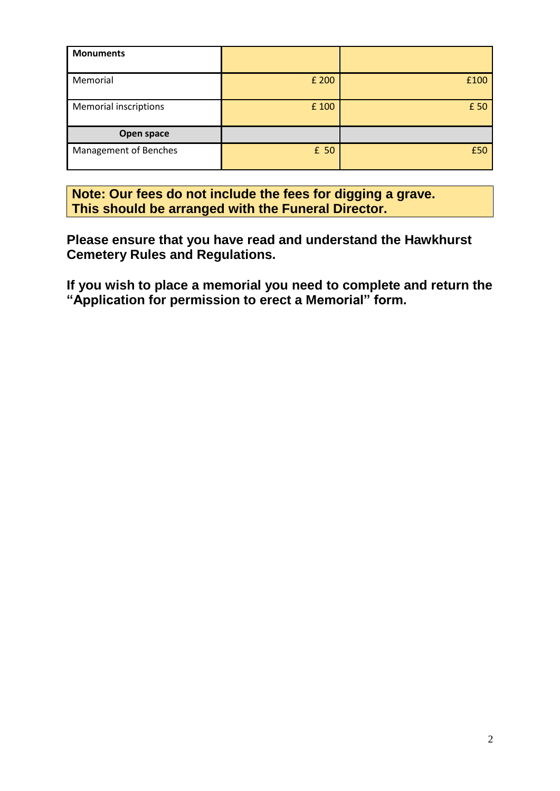| <b>Monuments</b>             |       |      |
|------------------------------|-------|------|
| Memorial                     | £ 200 | £100 |
| <b>Memorial inscriptions</b> | £ 100 | £ 50 |
| Open space                   |       |      |
| Management of Benches        | £ 50  | £50  |

**Note: Our fees do not include the fees for digging a grave. This should be arranged with the Funeral Director.**

**Please ensure that you have read and understand the Hawkhurst Cemetery Rules and Regulations.**

**If you wish to place a memorial you need to complete and return the "Application for permission to erect a Memorial" form.**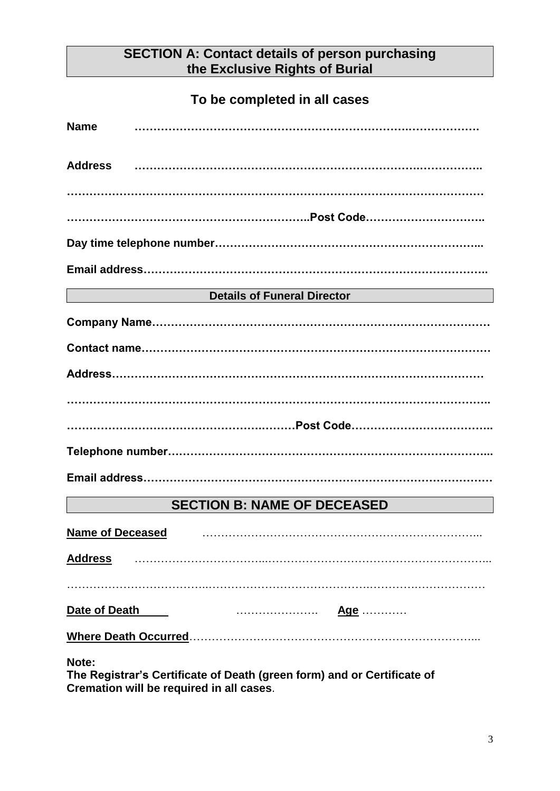# **SECTION A: Contact details of person purchasing the Exclusive Rights of Burial**

## **To be completed in all cases**

| <b>Name</b>                 |                                    |
|-----------------------------|------------------------------------|
|                             |                                    |
|                             |                                    |
|                             |                                    |
|                             |                                    |
|                             |                                    |
|                             | Details of Funeral Director        |
|                             |                                    |
|                             |                                    |
|                             |                                    |
|                             |                                    |
|                             |                                    |
|                             |                                    |
|                             |                                    |
|                             | <b>SECTION B: NAME OF DECEASED</b> |
| <b>Name of Deceased</b>     |                                    |
| <b>Address</b>              |                                    |
|                             |                                    |
| Date of Death               | <u>Age</u> …………                    |
| <b>Where Death Occurred</b> |                                    |
|                             |                                    |

**Note:** 

**The Registrar's Certificate of Death (green form) and or Certificate of Cremation will be required in all cases**.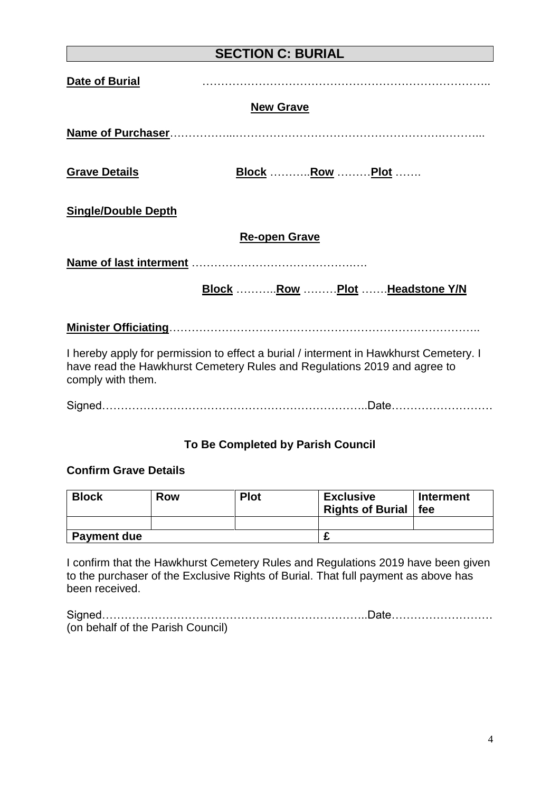| <b>SECTION C: BURIAL</b>   |                                                                                                                                                                   |
|----------------------------|-------------------------------------------------------------------------------------------------------------------------------------------------------------------|
| Date of Burial             |                                                                                                                                                                   |
|                            | <b>New Grave</b>                                                                                                                                                  |
|                            |                                                                                                                                                                   |
| <b>Grave Details</b>       | <b>Block</b> <u>Row</u> <u>Plot</u>                                                                                                                               |
| <b>Single/Double Depth</b> |                                                                                                                                                                   |
|                            | <b>Re-open Grave</b>                                                                                                                                              |
|                            |                                                                                                                                                                   |
|                            | Block Row  Plot Headstone Y/N                                                                                                                                     |
|                            |                                                                                                                                                                   |
| comply with them.          | I hereby apply for permission to effect a burial / interment in Hawkhurst Cemetery. I<br>have read the Hawkhurst Cemetery Rules and Regulations 2019 and agree to |
|                            |                                                                                                                                                                   |

### **To Be Completed by Parish Council**

#### **Confirm Grave Details**

| <b>Block</b>       | Row | <b>Plot</b> | <b>Exclusive</b><br><b>Rights of Burial</b> | <b>Interment</b><br>fee |
|--------------------|-----|-------------|---------------------------------------------|-------------------------|
|                    |     |             |                                             |                         |
| <b>Payment due</b> |     |             |                                             |                         |

I confirm that the Hawkhurst Cemetery Rules and Regulations 2019 have been given to the purchaser of the Exclusive Rights of Burial. That full payment as above has been received.

| (on behalf of the Parish Council) |  |
|-----------------------------------|--|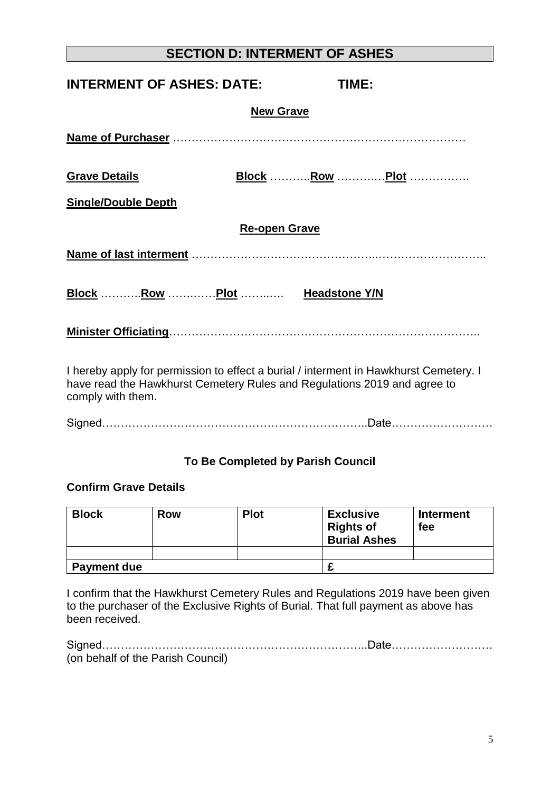# **SECTION D: INTERMENT OF ASHES**

| <b>INTERMENT OF ASHES: DATE:</b>                                                                                                                                  |                      | <b>TIME:</b>          |
|-------------------------------------------------------------------------------------------------------------------------------------------------------------------|----------------------|-----------------------|
|                                                                                                                                                                   | <b>New Grave</b>     |                       |
|                                                                                                                                                                   |                      |                       |
| <b>Grave Details</b>                                                                                                                                              |                      | <b>Block</b> Row Plot |
| <b>Single/Double Depth</b>                                                                                                                                        |                      |                       |
|                                                                                                                                                                   | <b>Re-open Grave</b> |                       |
|                                                                                                                                                                   |                      |                       |
| Block Row  Plot  Headstone Y/N                                                                                                                                    |                      |                       |
|                                                                                                                                                                   |                      |                       |
| I hereby apply for permission to effect a burial / interment in Hawkhurst Cemetery. I<br>have read the Hawkhurst Cemetery Rules and Regulations 2019 and agree to |                      |                       |

Signed……………………………………………………………..Date………………………

#### **To Be Completed by Parish Council**

#### **Confirm Grave Details**

comply with them.

| <b>Block</b>       | Row | <b>Plot</b> | <b>Exclusive</b><br><b>Rights of</b><br><b>Burial Ashes</b> | <b>Interment</b><br>fee |
|--------------------|-----|-------------|-------------------------------------------------------------|-------------------------|
|                    |     |             |                                                             |                         |
| <b>Payment due</b> |     |             |                                                             |                         |

I confirm that the Hawkhurst Cemetery Rules and Regulations 2019 have been given to the purchaser of the Exclusive Rights of Burial. That full payment as above has been received.

| (on behalf of the Parish Council) |  |
|-----------------------------------|--|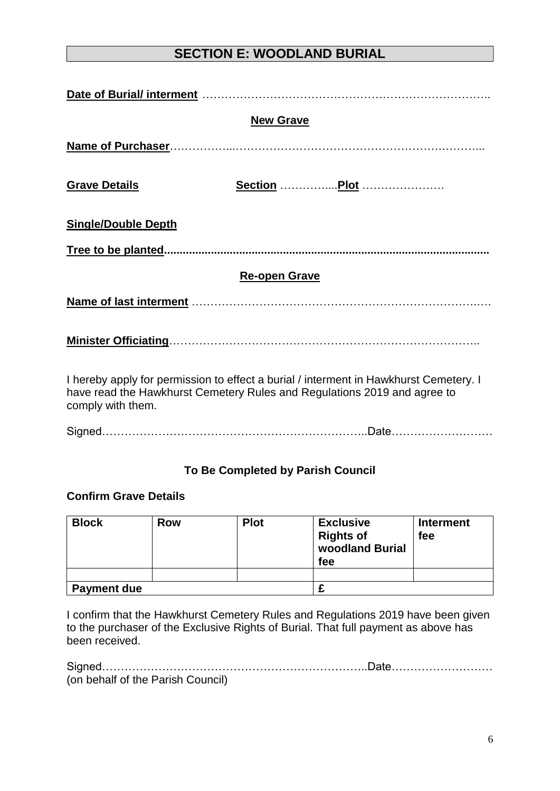# **SECTION E: WOODLAND BURIAL**

|                            | <b>New Grave</b>                                                                                                                                                  |
|----------------------------|-------------------------------------------------------------------------------------------------------------------------------------------------------------------|
|                            |                                                                                                                                                                   |
| <b>Grave Details</b>       | Section  Plot                                                                                                                                                     |
| <b>Single/Double Depth</b> |                                                                                                                                                                   |
|                            |                                                                                                                                                                   |
|                            | <b>Re-open Grave</b>                                                                                                                                              |
|                            |                                                                                                                                                                   |
|                            |                                                                                                                                                                   |
| comply with them.          | I hereby apply for permission to effect a burial / interment in Hawkhurst Cemetery. I<br>have read the Hawkhurst Cemetery Rules and Regulations 2019 and agree to |

Signed……………………………………………………………..Date………………………

#### **To Be Completed by Parish Council**

#### **Confirm Grave Details**

| <b>Block</b>       | <b>Row</b> | <b>Plot</b> | <b>Exclusive</b><br><b>Rights of</b><br>woodland Burial<br>fee | <b>Interment</b><br>fee |
|--------------------|------------|-------------|----------------------------------------------------------------|-------------------------|
|                    |            |             |                                                                |                         |
| <b>Payment due</b> |            |             |                                                                |                         |

I confirm that the Hawkhurst Cemetery Rules and Regulations 2019 have been given to the purchaser of the Exclusive Rights of Burial. That full payment as above has been received.

| (on behalf of the Parish Council) |  |
|-----------------------------------|--|